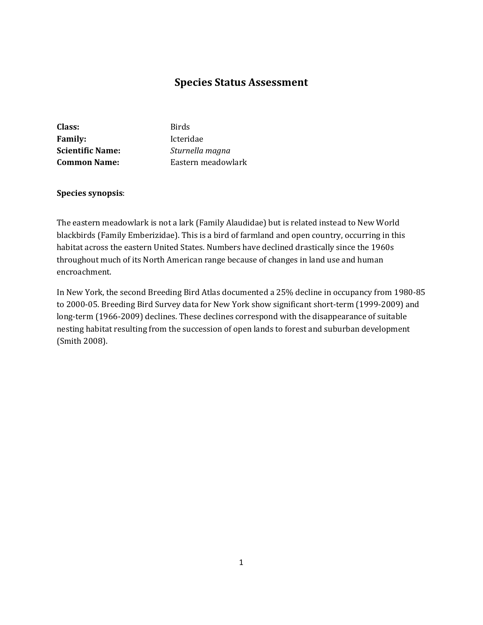# **Species Status Assessment**

| Class:                  | <b>Birds</b>       |
|-------------------------|--------------------|
| <b>Family:</b>          | Icteridae          |
| <b>Scientific Name:</b> | Sturnella magna    |
| <b>Common Name:</b>     | Eastern meadowlark |

## **Species synopsis**:

The eastern meadowlark is not a lark (Family Alaudidae) but is related instead to New World blackbirds (Family Emberizidae). This is a bird of farmland and open country, occurring in this habitat across the eastern United States. Numbers have declined drastically since the 1960s throughout much of its North American range because of changes in land use and human encroachment.

In New York, the second Breeding Bird Atlas documented a 25% decline in occupancy from 1980-85 to 2000-05. Breeding Bird Survey data for New York show significant short-term (1999-2009) and long-term (1966-2009) declines. These declines correspond with the disappearance of suitable nesting habitat resulting from the succession of open lands to forest and suburban development (Smith 2008).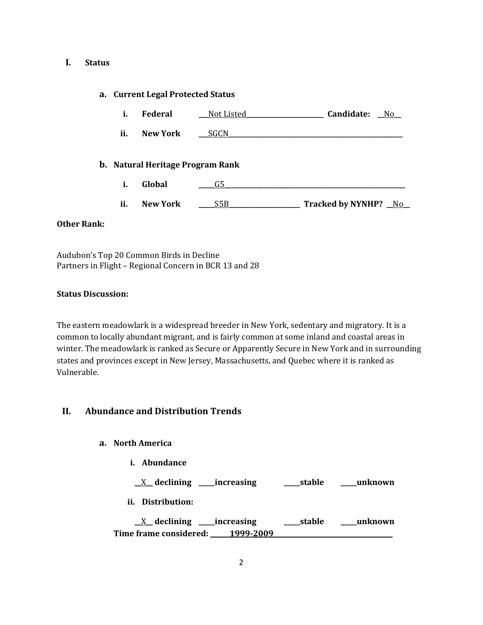#### **I. Status**

#### **a. Current Legal Protected Status**

| л. | Federal | Not Listed | Candidate: | No |
|----|---------|------------|------------|----|
|    |         |            |            |    |

# **ii. New York** <u>\_\_\_SGCN</u>

#### **b. Natural Heritage Program Rank**

- **i. Global \_\_\_\_\_**G5**\_\_\_\_\_\_\_\_\_\_\_\_\_\_\_\_\_\_\_\_\_\_\_\_\_\_\_\_\_\_\_\_\_\_\_\_\_\_\_\_\_\_\_\_\_\_\_\_\_\_\_\_\_\_\_\_**
- **ii. New York \_\_\_\_\_**S5B**\_\_\_\_\_\_\_\_\_\_\_\_\_\_\_\_\_\_\_\_\_\_ Tracked by NYNHP? \_\_**No**\_\_**

#### **Other Rank:**

Audubon's Top 20 Common Birds in Decline Partners in Flight – Regional Concern in BCR 13 and 28

#### **Status Discussion:**

The eastern meadowlark is a widespread breeder in New York, sedentary and migratory. It is a common to locally abundant migrant, and is fairly common at some inland and coastal areas in winter. The meadowlark is ranked as Secure or Apparently Secure in New York and in surrounding states and provinces except in New Jersey, Massachusetts, and Quebec where it is ranked as Vulnerable.

## **II. Abundance and Distribution Trends**

## **a. North America**

**i. Abundance**

\_\_X\_\_ **declining \_\_\_\_\_increasing \_\_\_\_\_stable \_\_\_\_\_unknown**

**ii. Distribution:**

\_\_X\_\_ **declining \_\_\_\_\_increasing \_\_\_\_\_stable \_\_\_\_\_unknown Time frame considered: \_\_\_\_\_\_1999-2009\_\_\_\_\_\_\_\_\_\_\_\_\_\_\_\_\_\_\_\_\_\_\_\_\_\_\_\_\_\_\_\_\_\_\_\_\_**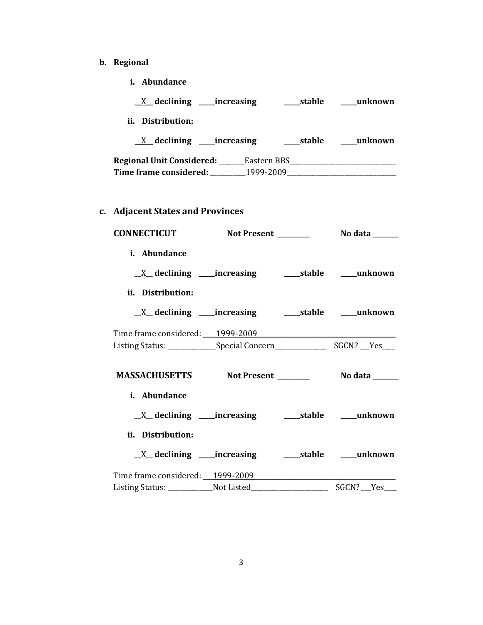- **b. Regional** 
	- **i. Abundance**

| $X$ declining ______ increasing |             | stable | unknown |
|---------------------------------|-------------|--------|---------|
| ii. Distribution:               |             |        |         |
| $X$ declining ______ increasing |             | stable | unknown |
| Regional Unit Considered: __    | Eastern BBS |        |         |
| Time frame considered: __       | 1999-2009   |        |         |

**c. Adjacent States and Provinces**

| <b>CONNECTICUT</b>                                                                              | Not Present ________                 | No data $\_\_\_\_\_\_\_\_\_\_\$ |
|-------------------------------------------------------------------------------------------------|--------------------------------------|---------------------------------|
| i. Abundance<br>ii. Distribution:                                                               |                                      |                                 |
|                                                                                                 |                                      |                                 |
|                                                                                                 |                                      |                                 |
| Listing Status: Special Concern SGCN? Yes                                                       |                                      |                                 |
| i. Abundance                                                                                    |                                      |                                 |
| ii. Distribution:                                                                               |                                      |                                 |
| <u>X</u> declining ____increasing ______stable _____unknown<br>Time frame considered: 1999-2009 |                                      |                                 |
|                                                                                                 | Listing Status: Not Listed SGCN? Yes |                                 |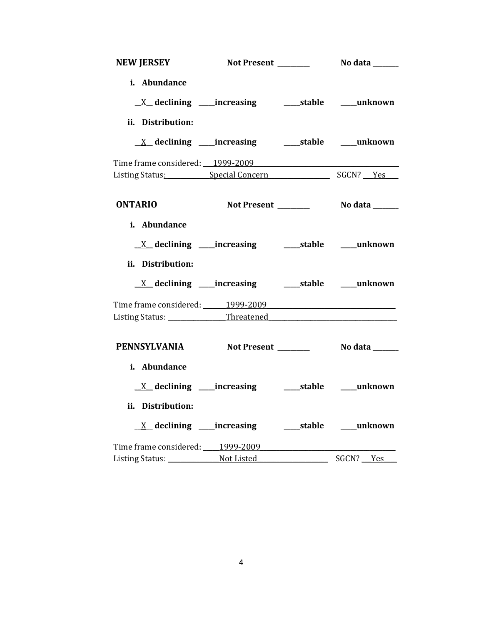| i. Abundance                              |                                                                   |                                            |
|-------------------------------------------|-------------------------------------------------------------------|--------------------------------------------|
|                                           |                                                                   |                                            |
| ii. Distribution:                         |                                                                   |                                            |
|                                           | <u>X</u> declining ____increasing ___________stable ______unknown |                                            |
| Time frame considered: 1999-2009          |                                                                   |                                            |
| Listing Status: Special Concern SGCN? Yes |                                                                   |                                            |
| <b>ONTARIO</b>                            | Not Present _______                                               | No data _______                            |
| i. Abundance                              |                                                                   |                                            |
|                                           |                                                                   |                                            |
| ii. Distribution:                         |                                                                   |                                            |
|                                           | <u>X</u> declining ____increasing _______stable _____unknown      |                                            |
| Time frame considered: 1999-2009          |                                                                   |                                            |
| Listing Status: ______________Threatened  |                                                                   |                                            |
| PENNSYLVANIA Not Present _______          |                                                                   | No data <b>waxaa ka marka dheegaal dhi</b> |
| i. Abundance                              |                                                                   |                                            |
| $X$ declining _____increasing             |                                                                   | ______stable ______unknown                 |
| ii. Distribution:                         |                                                                   |                                            |
|                                           | $\underline{X}$ declining ____increasing                          | stable unknown                             |
| Time frame considered: 1999-2009          |                                                                   |                                            |
|                                           |                                                                   |                                            |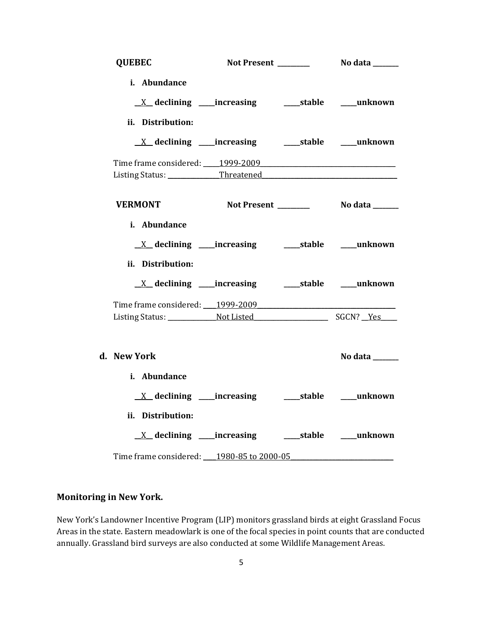| <b>QUEBEC</b>                                                                                   |  |                |
|-------------------------------------------------------------------------------------------------|--|----------------|
| i. Abundance<br><u>X</u> declining ____increasing ______stable ____unknown                      |  |                |
| ii. Distribution:                                                                               |  |                |
|                                                                                                 |  |                |
|                                                                                                 |  |                |
|                                                                                                 |  |                |
|                                                                                                 |  |                |
| <b>VERMONT</b>                                                                                  |  |                |
| i. Abundance<br><u>X</u> declining ____increasing ______stable ____unknown<br>ii. Distribution: |  |                |
| <u>X</u> declining ____increasing ______stable ____unknown<br>Time frame considered: 1999-2009  |  |                |
|                                                                                                 |  |                |
| d. New York                                                                                     |  | No data $\_\_$ |
| i. Abundance                                                                                    |  |                |
| ii. Distribution:                                                                               |  |                |
| <u>X</u> declining ____increasing ______stable ____unknown                                      |  |                |
| Time frame considered: 1980-85 to 2000-05                                                       |  |                |

## **Monitoring in New York.**

New York's Landowner Incentive Program (LIP) monitors grassland birds at eight Grassland Focus Areas in the state. Eastern meadowlark is one of the focal species in point counts that are conducted annually. Grassland bird surveys are also conducted at some Wildlife Management Areas.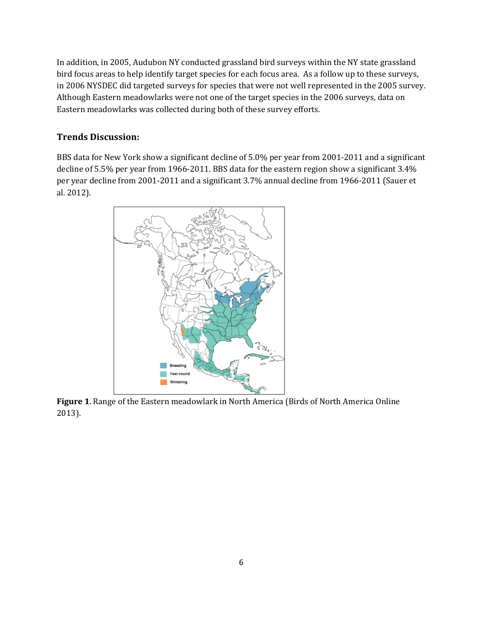In addition, in 2005, Audubon NY conducted grassland bird surveys within the NY state grassland bird focus areas to help identify target species for each focus area. As a follow up to these surveys, in 2006 NYSDEC did targeted surveys for species that were not well represented in the 2005 survey. Although Eastern meadowlarks were not one of the target species in the 2006 surveys, data on Eastern meadowlarks was collected during both of these survey efforts.

## **Trends Discussion:**

BBS data for New York show a significant decline of 5.0% per year from 2001-2011 and a significant decline of 5.5% per year from 1966-2011. BBS data for the eastern region show a significant 3.4% per year decline from 2001-2011 and a significant 3.7% annual decline from 1966-2011 (Sauer et al. 2012).



**Figure 1**. Range of the Eastern meadowlark in North America (Birds of North America Online 2013).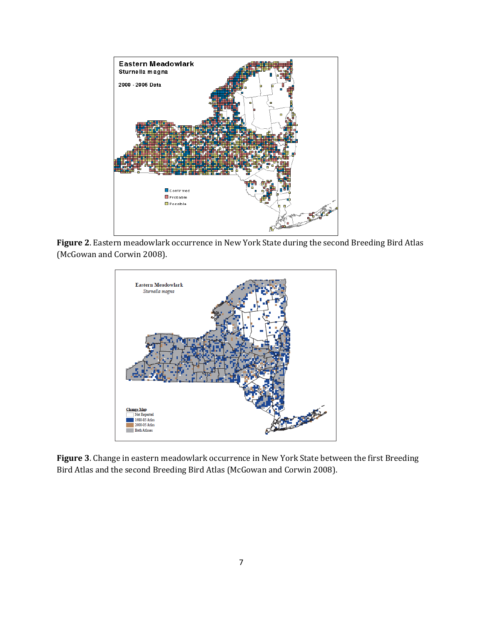

**Figure 2**. Eastern meadowlark occurrence in New York State during the second Breeding Bird Atlas (McGowan and Corwin 2008).



**Figure 3**. Change in eastern meadowlark occurrence in New York State between the first Breeding Bird Atlas and the second Breeding Bird Atlas (McGowan and Corwin 2008).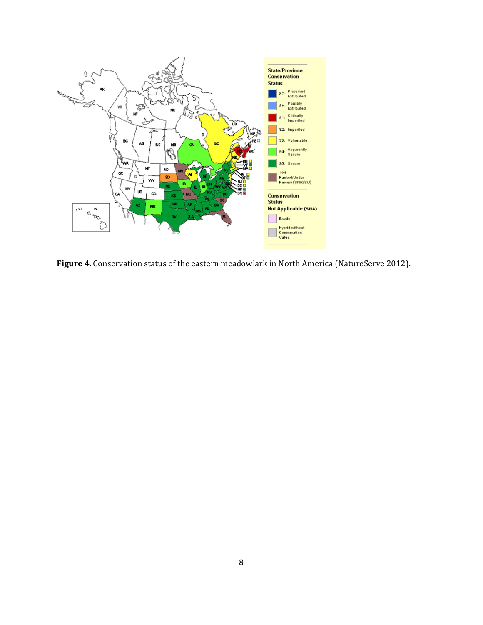

**Figure 4**. Conservation status of the eastern meadowlark in North America (NatureServe 2012).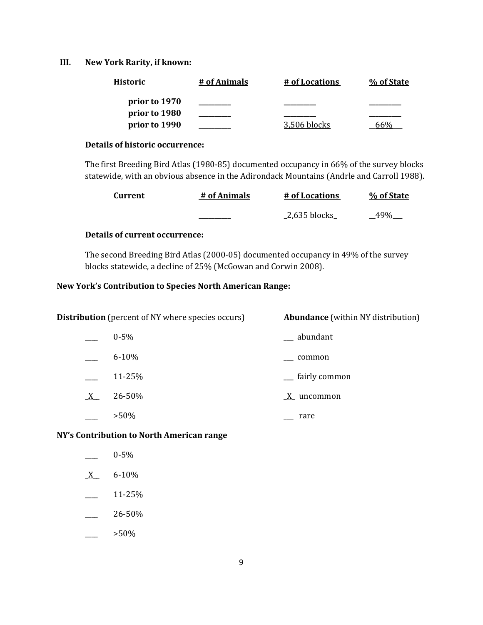## **III. New York Rarity, if known:**

| <b>Historic</b> | # of Animals | # of Locations | % of State |
|-----------------|--------------|----------------|------------|
| prior to 1970   |              |                |            |
| prior to 1980   |              |                |            |
| prior to 1990   |              | 3.506 blocks   |            |

#### **Details of historic occurrence:**

The first Breeding Bird Atlas (1980-85) documented occupancy in 66% of the survey blocks statewide, with an obvious absence in the Adirondack Mountains (Andrle and Carroll 1988).

| Current | # of Animals | # of Locations | % of State |
|---------|--------------|----------------|------------|
|         |              | 2,635 blocks   |            |

## **Details of current occurrence:**

The second Breeding Bird Atlas (2000-05) documented occupancy in 49% of the survey blocks statewide, a decline of 25% (McGowan and Corwin 2008).

## **New York's Contribution to Species North American Range:**

| <b>Distribution</b> (percent of NY where species occurs) |           | <b>Abundance</b> (within NY distribution) |
|----------------------------------------------------------|-----------|-------------------------------------------|
|                                                          | $0 - 5\%$ | __ abundant                               |
|                                                          | $6 - 10%$ | common                                    |
|                                                          | 11-25%    | __ fairly common                          |
| $X_{-}$                                                  | 26-50%    | $X$ uncommon                              |
|                                                          | $>50\%$   | rare                                      |

#### **NY's Contribution to North American range**

- $X$  6-10%
- $\frac{11-25\%}{ }$
- $-26-50%$
- $>50\%$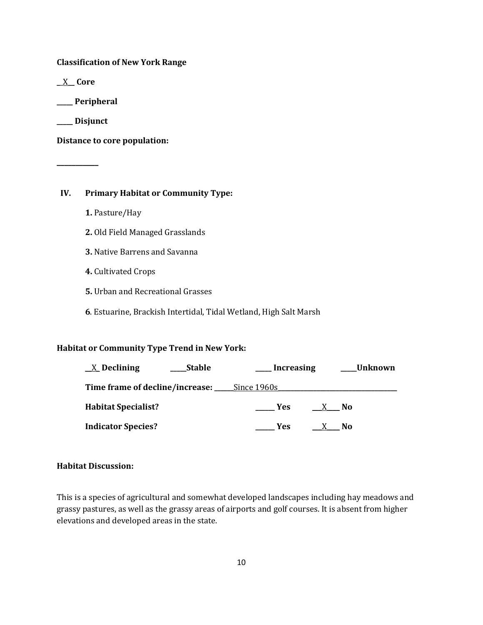**Classification of New York Range**

**\_**\_X**\_\_ Core**

**\_\_\_\_\_ Peripheral**

**\_\_\_\_\_ Disjunct**

**\_\_\_\_\_\_\_\_\_\_\_**

**Distance to core population:**

## **IV. Primary Habitat or Community Type:**

- **1.** Pasture/Hay
- **2.** Old Field Managed Grasslands
- **3.** Native Barrens and Savanna
- **4.** Cultivated Crops
- **5.** Urban and Recreational Grasses
- **6**. Estuarine, Brackish Intertidal, Tidal Wetland, High Salt Marsh

## **Habitat or Community Type Trend in New York:**

| $X$ Declining<br><b>Stable</b>                     | Increasing | Unknown |
|----------------------------------------------------|------------|---------|
| <b>Time frame of decline/increase:</b> Since 1960s |            |         |
| <b>Habitat Specialist?</b>                         | <b>Yes</b> | - No    |
| <b>Indicator Species?</b>                          | <b>Yes</b> | No.     |

## **Habitat Discussion:**

This is a species of agricultural and somewhat developed landscapes including hay meadows and grassy pastures, as well as the grassy areas of airports and golf courses. It is absent from higher elevations and developed areas in the state.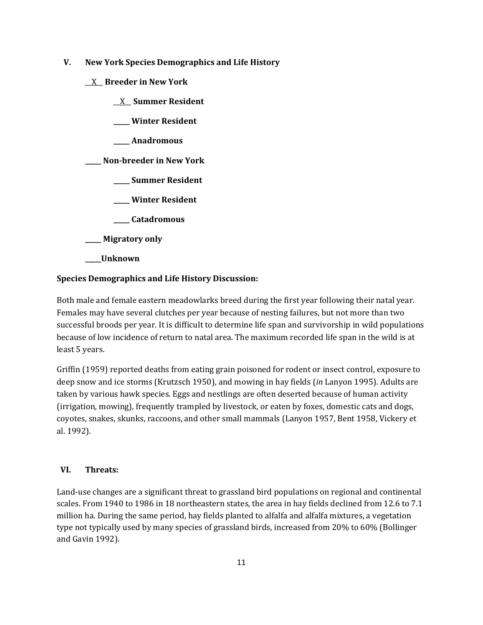- **V. New York Species Demographics and Life History**
	- \_\_X\_\_ **Breeder in New York**
		- \_\_X\_\_ **Summer Resident**
		- **\_\_\_\_\_ Winter Resident**
		- **\_\_\_\_\_ Anadromous**

**\_\_\_\_\_ Non-breeder in New York**

- **\_\_\_\_\_ Summer Resident**
- **\_\_\_\_\_ Winter Resident**
- **\_\_\_\_\_ Catadromous**
- **\_\_\_\_\_ Migratory only**
- **\_\_\_\_\_Unknown**

## **Species Demographics and Life History Discussion:**

Both male and female eastern meadowlarks breed during the first year following their natal year. Females may have several clutches per year because of nesting failures, but not more than two successful broods per year. It is difficult to determine life span and survivorship in wild populations because of low incidence of return to natal area. The maximum recorded life span in the wild is at least 5 years.

Griffin (1959) reported deaths from eating grain poisoned for rodent or insect control, exposure to deep snow and ice storms (Krutzsch 1950), and mowing in hay fields (*in* Lanyon 1995). Adults are taken by various hawk species. Eggs and nestlings are often deserted because of human activity (irrigation, mowing), frequently trampled by livestock, or eaten by foxes, domestic cats and dogs, coyotes, snakes, skunks, raccoons, and other small mammals (Lanyon 1957, [Bent 1958,](http://bna.birds.cornell.edu/bna/species/160/articles/species/160/biblio/bib011) [Vickery et](http://bna.birds.cornell.edu/bna/species/160/articles/species/160/biblio/bib108)  [al. 1992\)](http://bna.birds.cornell.edu/bna/species/160/articles/species/160/biblio/bib108).

## **VI. Threats:**

Land-use changes are a significant threat to grassland bird populations on regional and continental scales. From 1940 to 1986 in 18 northeastern states, the area in hay fields declined from 12.6 to 7.1 million ha. During the same period, hay fields planted to alfalfa and alfalfa mixtures, a vegetation type not typically used by many species of grassland birds, increased from 20% to 60% (Bollinger and Gavin 1992).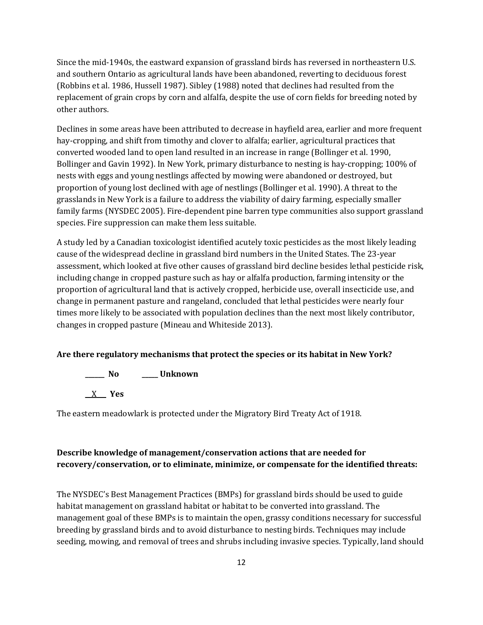Since the mid-1940s, the eastward expansion of grassland birds has reversed in northeastern U.S. and southern Ontario as agricultural lands have been abandoned, reverting to deciduous forest (Robbins et al. 1986, Hussell 1987). Sibley (1988) noted that declines had resulted from the replacement of grain crops by corn and alfalfa, despite the use of corn fields for breeding noted by other authors.

Declines in some areas have been attributed to decrease in hayfield area, earlier and more frequent hay-cropping, and shift from timothy and clover to alfalfa; earlier, agricultural practices that converted wooded land to open land resulted in an increase in range (Bollinger et al. 1990, Bollinger and Gavin 1992). In New York, primary disturbance to nesting is hay-cropping; 100% of nests with eggs and young nestlings affected by mowing were abandoned or destroyed, but proportion of young lost declined with age of nestlings (Bollinger et al. 1990). A threat to the grasslands in New York is a failure to address the viability of dairy farming, especially smaller family farms (NYSDEC 2005). Fire-dependent pine barren type communities also support grassland species. Fire suppression can make them less suitable.

A study led by a Canadian toxicologist identified acutely toxic pesticides as the most likely leading cause of the widespread decline in grassland bird numbers in the United States. The 23-year assessment, which looked at five other causes of grassland bird decline besides lethal pesticide risk, including change in cropped pasture such as hay or alfalfa production, farming intensity or the proportion of agricultural land that is actively cropped, herbicide use, overall insecticide use, and change in permanent pasture and rangeland, concluded that lethal pesticides were nearly four times more likely to be associated with population declines than the next most likely contributor, changes in cropped pasture (Mineau and Whiteside 2013).

#### **Are there regulatory mechanisms that protect the species or its habitat in New York?**

**\_\_\_\_\_\_ No \_\_\_\_\_ Unknown** \_\_X\_\_\_ **Yes** 

The eastern meadowlark is protected under the Migratory Bird Treaty Act of 1918.

## **Describe knowledge of management/conservation actions that are needed for recovery/conservation, or to eliminate, minimize, or compensate for the identified threats:**

The NYSDEC's Best Management Practices (BMPs) for grassland birds should be used to guide habitat management on grassland habitat or habitat to be converted into grassland. The management goal of these BMPs is to maintain the open, grassy conditions necessary for successful breeding by grassland birds and to avoid disturbance to nesting birds. Techniques may include seeding, mowing, and removal of trees and shrubs including invasive species. Typically, land should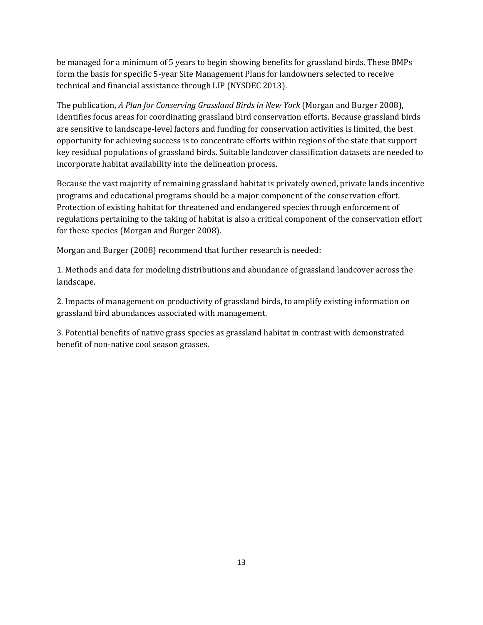be managed for a minimum of 5 years to begin showing benefits for grassland birds. These BMPs form the basis for specific 5-year Site Management Plans for landowners selected to receive technical and financial assistance through LIP (NYSDEC 2013).

The publication, *A Plan for Conserving Grassland Birds in New York* (Morgan and Burger 2008), identifies focus areas for coordinating grassland bird conservation efforts. Because grassland birds are sensitive to landscape-level factors and funding for conservation activities is limited, the best opportunity for achieving success is to concentrate efforts within regions of the state that support key residual populations of grassland birds. Suitable landcover classification datasets are needed to incorporate habitat availability into the delineation process.

Because the vast majority of remaining grassland habitat is privately owned, private lands incentive programs and educational programs should be a major component of the conservation effort. Protection of existing habitat for threatened and endangered species through enforcement of regulations pertaining to the taking of habitat is also a critical component of the conservation effort for these species (Morgan and Burger 2008).

Morgan and Burger (2008) recommend that further research is needed:

1. Methods and data for modeling distributions and abundance of grassland landcover across the landscape.

2. Impacts of management on productivity of grassland birds, to amplify existing information on grassland bird abundances associated with management.

3. Potential benefits of native grass species as grassland habitat in contrast with demonstrated benefit of non-native cool season grasses.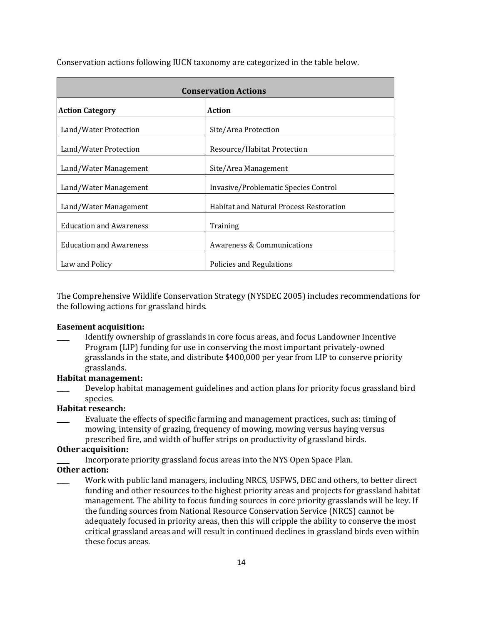| <b>Conservation Actions</b>             |                                                |  |
|-----------------------------------------|------------------------------------------------|--|
| <b>Action</b><br><b>Action Category</b> |                                                |  |
| Land/Water Protection                   | Site/Area Protection                           |  |
| Land/Water Protection                   | Resource/Habitat Protection                    |  |
| Land/Water Management                   | Site/Area Management                           |  |
| Land/Water Management                   | Invasive/Problematic Species Control           |  |
| Land/Water Management                   | <b>Habitat and Natural Process Restoration</b> |  |
| <b>Education and Awareness</b>          | Training                                       |  |
| <b>Education and Awareness</b>          | Awareness & Communications                     |  |
| Law and Policy                          | Policies and Regulations                       |  |

Conservation actions following IUCN taxonomy are categorized in the table below.

The Comprehensive Wildlife Conservation Strategy (NYSDEC 2005) includes recommendations for the following actions for grassland birds.

#### **Easement acquisition:**

\_\_\_\_ Identify ownership of grasslands in core focus areas, and focus Landowner Incentive Program (LIP) funding for use in conserving the most important privately-owned grasslands in the state, and distribute \$400,000 per year from LIP to conserve priority grasslands.

#### **Habitat management:**

Develop habitat management guidelines and action plans for priority focus grassland bird species.

## **Habitat research:**

Evaluate the effects of specific farming and management practices, such as: timing of mowing, intensity of grazing, frequency of mowing, mowing versus haying versus prescribed fire, and width of buffer strips on productivity of grassland birds.

#### **Other acquisition:**

Incorporate priority grassland focus areas into the NYS Open Space Plan.

#### **Other action:**

Work with public land managers, including NRCS, USFWS, DEC and others, to better direct funding and other resources to the highest priority areas and projects for grassland habitat management. The ability to focus funding sources in core priority grasslands will be key. If the funding sources from National Resource Conservation Service (NRCS) cannot be adequately focused in priority areas, then this will cripple the ability to conserve the most critical grassland areas and will result in continued declines in grassland birds even within these focus areas.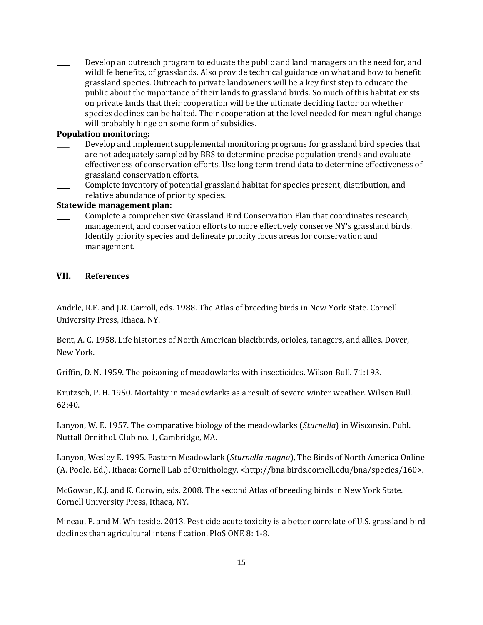Develop an outreach program to educate the public and land managers on the need for, and wildlife benefits, of grasslands. Also provide technical guidance on what and how to benefit grassland species. Outreach to private landowners will be a key first step to educate the public about the importance of their lands to grassland birds. So much of this habitat exists on private lands that their cooperation will be the ultimate deciding factor on whether species declines can be halted. Their cooperation at the level needed for meaningful change will probably hinge on some form of subsidies.

## **Population monitoring:**

- Develop and implement supplemental monitoring programs for grassland bird species that are not adequately sampled by BBS to determine precise population trends and evaluate effectiveness of conservation efforts. Use long term trend data to determine effectiveness of grassland conservation efforts.
- \_\_\_\_ Complete inventory of potential grassland habitat for species present, distribution, and relative abundance of priority species.

#### **Statewide management plan:**

\_\_\_\_ Complete a comprehensive Grassland Bird Conservation Plan that coordinates research, management, and conservation efforts to more effectively conserve NY's grassland birds. Identify priority species and delineate priority focus areas for conservation and management.

#### **VII. References**

Andrle, R.F. and J.R. Carroll, eds. 1988. The Atlas of breeding birds in New York State. Cornell University Press, Ithaca, NY.

Bent, A. C. 1958. Life histories of North American blackbirds, orioles, tanagers, and allies. Dover, New York.

Griffin, D. N. 1959. The poisoning of meadowlarks with insecticides. Wilson Bull. 71:193.

Krutzsch, P. H. 1950. Mortality in meadowlarks as a result of severe winter weather. Wilson Bull. 62:40.

Lanyon, W. E. 1957. The comparative biology of the meadowlarks (*Sturnella*) in Wisconsin. Publ. Nuttall Ornithol. Club no. 1, Cambridge, MA.

Lanyon, Wesley E. 1995. Eastern Meadowlark (*Sturnella magna*), The Birds of North America Online (A. Poole, Ed.). Ithaca: Cornell Lab of Ornithology. <http://bna.birds.cornell.edu/bna/species/160>.

McGowan, K.J. and K. Corwin, eds. 2008. The second Atlas of breeding birds in New York State. Cornell University Press, Ithaca, NY.

Mineau, P. and M. Whiteside. 2013. Pesticide acute toxicity is a better correlate of U.S. grassland bird declines than agricultural intensification. PloS ONE 8: 1-8.